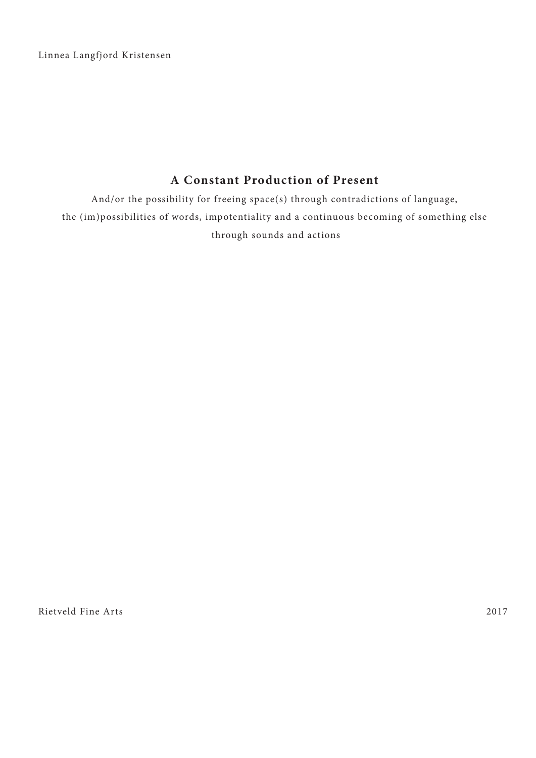Linnea Langfjord Kristensen

# **A Constant Production of Present**

And/or the possibility for freeing space(s) through contradictions of language, the (im)possibilities of words, impotentiality and a continuous becoming of something else through sounds and actions

Rietveld Fine Arts 2017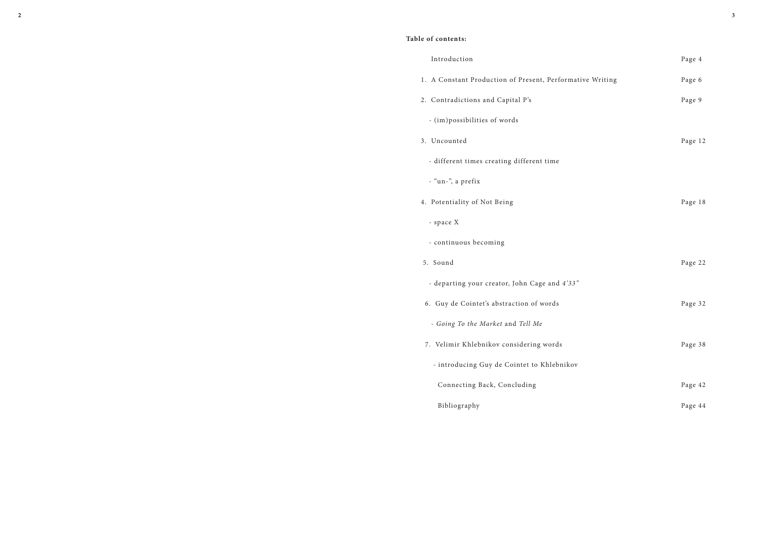# **Table of contents:**

#### Introduction Page 4

- 1. A Constant Production of Present, Perform
- 2. Contradictions and Capital P's
	- (im)possibilities of words
- 
- different times creating different time
- "un-", a prefix
- 
- space X
- continuous becoming
- 
- departing your creator, John Cage and  $4'3$ .
- 
- *Going To the Market* and *Tell Me*
- 7. Velimir Khlebnikov considering words Page 38
	- introducing Guy de Cointet to Khlebnikov
	- Connecting Back, Concluding  $\qquad \qquad$  Page 42
	- Bibliography Page 44

| 1. A Constant Production of Present, Performative Writing | Page 6  |
|-----------------------------------------------------------|---------|
| 2. Contradictions and Capital P's                         | Page 9  |
| - (im)possibilities of words                              |         |
| 3. Uncounted                                              | Page 12 |
| - different times creating different time                 |         |
| - "un-", a prefix                                         |         |
| 4. Potentiality of Not Being                              | Page 18 |
| - space X                                                 |         |
| - continuous becoming                                     |         |
| 5. Sound                                                  | Page 22 |
| - departing your creator, John Cage and 4'33"             |         |
| 6. Guy de Cointet's abstraction of words                  | Page 32 |
| - Going To the Market and Tell Me                         |         |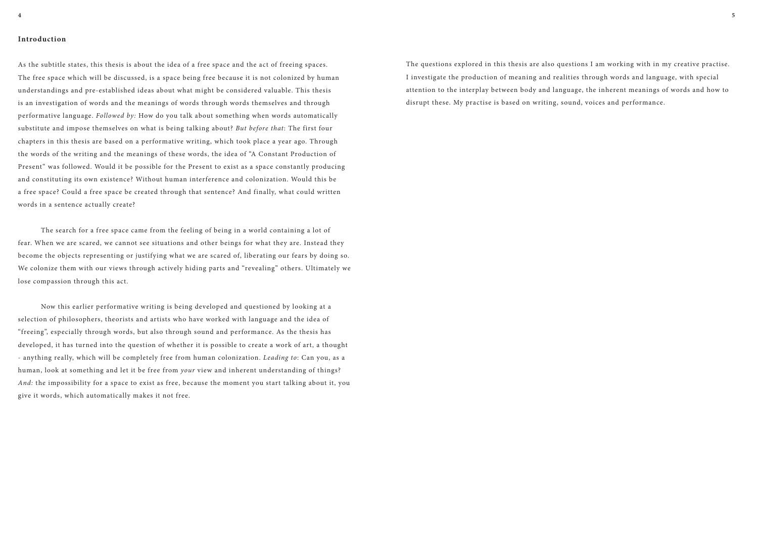## **Introduction**

As the subtitle states, this thesis is about the idea of a free space and the act of freeing spaces. The free space which will be discussed, is a space being free because it is not colonized by human understandings and pre-established ideas about what might be considered valuable. This thesis is an investigation of words and the meanings of words through words themselves and through performative language. *Followed by:* How do you talk about something when words automatically substitute and impose themselves on what is being talking about? *But before that*: The first four chapters in this thesis are based on a performative writing, which took place a year ago. Through the words of the writing and the meanings of these words, the idea of "A Constant Production of Present" was followed. Would it be possible for the Present to exist as a space constantly producing and constituting its own existence? Without human interference and colonization. Would this be a free space? Could a free space be created through that sentence? And finally, what could written words in a sentence actually create?

The search for a free space came from the feeling of being in a world containing a lot of fear. When we are scared, we cannot see situations and other beings for what they are. Instead they become the objects representing or justifying what we are scared of, liberating our fears by doing so. We colonize them with our views through actively hiding parts and "revealing" others. Ultimately we lose compassion through this act.

Now this earlier performative writing is being developed and questioned by looking at a selection of philosophers, theorists and artists who have worked with language and the idea of "freeing", especially through words, but also through sound and performance. As the thesis has developed, it has turned into the question of whether it is possible to create a work of art, a thought - anything really, which will be completely free from human colonization. *Leading to*: Can you, as a human, look at something and let it be free from *your* view and inherent understanding of things? *And:* the impossibility for a space to exist as free, because the moment you start talking about it, you give it words, which automatically makes it not free.

The questions explored in this thesis are also questions I am working with in my creative practise. I investigate the production of meaning and realities through words and language, with special attention to the interplay between body and language, the inherent meanings of words and how to disrupt these. My practise is based on writing, sound, voices and performance.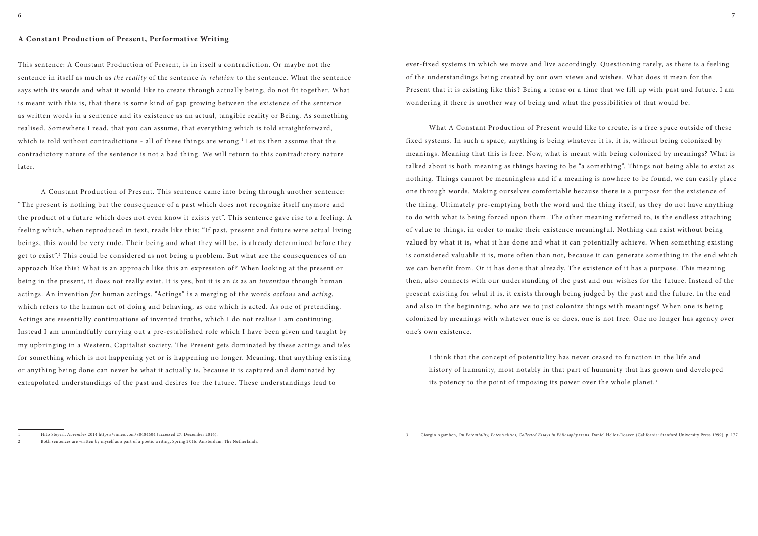#### **A Constant Production of Present, Performative Writing**

This sentence: A Constant Production of Present, is in itself a contradiction. Or maybe not the sentence in itself as much as *the reality* of the sentence *in relation* to the sentence. What the sentence says with its words and what it would like to create through actually being, do not fit together. What is meant with this is, that there is some kind of gap growing between the existence of the sentence as written words in a sentence and its existence as an actual, tangible reality or Being. As something realised. Somewhere I read, that you can assume, that everything which is told straightforward, which is told without contradictions - all of these things are wrong. $^{\rm 1}$  Let us then assume that the contradictory nature of the sentence is not a bad thing. We will return to this contradictory nature later.

A Constant Production of Present. This sentence came into being through another sentence: "The present is nothing but the consequence of a past which does not recognize itself anymore and the product of a future which does not even know it exists yet". This sentence gave rise to a feeling. A feeling which, when reproduced in text, reads like this: "If past, present and future were actual living beings, this would be very rude. Their being and what they will be, is already determined before they get to exist".<sup>2</sup> This could be considered as not being a problem. But what are the consequences of an approach like this? What is an approach like this an expression of? When looking at the present or being in the present, it does not really exist. It is yes, but it is an *is* as an *invention* through human actings. An invention *for* human actings. "Actings" is a merging of the words *actions* and *acting*, which refers to the human act of doing and behaving, as one which is acted. As one of pretending. Actings are essentially continuations of invented truths, which I do not realise I am continuing. Instead I am unmindfully carrying out a pre-established role which I have been given and taught by my upbringing in a Western, Capitalist society. The Present gets dominated by these actings and is'es for something which is not happening yet or is happening no longer. Meaning, that anything existing or anything being done can never be what it actually is, because it is captured and dominated by extrapolated understandings of the past and desires for the future. These understandings lead to

I think that the concept of potentiality has never ceased to function in the life and history of humanity, most notably in that part of humanity that has grown and developed its potency to the point of imposing its power over the whole planet.<sup>3</sup>

ever-fixed systems in which we move and live accordingly. Questioning rarely, as there is a feeling of the understandings being created by our own views and wishes. What does it mean for the Present that it is existing like this? Being a tense or a time that we fill up with past and future. I am wondering if there is another way of being and what the possibilities of that would be.

What A Constant Production of Present would like to create, is a free space outside of these fixed systems. In such a space, anything is being whatever it is, it is, without being colonized by meanings. Meaning that this is free. Now, what is meant with being colonized by meanings? What is talked about is both meaning as things having to be "a something". Things not being able to exist as nothing. Things cannot be meaningless and if a meaning is nowhere to be found, we can easily place one through words. Making ourselves comfortable because there is a purpose for the existence of the thing. Ultimately pre-emptying both the word and the thing itself, as they do not have anything to do with what is being forced upon them. The other meaning referred to, is the endless attaching of value to things, in order to make their existence meaningful. Nothing can exist without being valued by what it is, what it has done and what it can potentially achieve. When something existing is considered valuable it is, more often than not, because it can generate something in the end which we can benefit from. Or it has done that already. The existence of it has a purpose. This meaning then, also connects with our understanding of the past and our wishes for the future. Instead of the present existing for what it is, it exists through being judged by the past and the future. In the end and also in the beginning, who are we to just colonize things with meanings? When one is being colonized by meanings with whatever one is or does, one is not free. One no longer has agency over one's own existence.

3 Giorgio Agamben, *On Potentiality, Potentialities, Collected Essays in Philosophy* trans. Daniel Heller-Roazen (California: Stanford University Press 1999), p. 177.

<sup>1</sup> Hito Steyerl, *November* 2014 https://vimeo.com/88484604 (accessed 27. December 2016).

<sup>2</sup> Both sentences are written by myself as a part of a poetic writing, Spring 2016, Amsterdam, The Netherlands.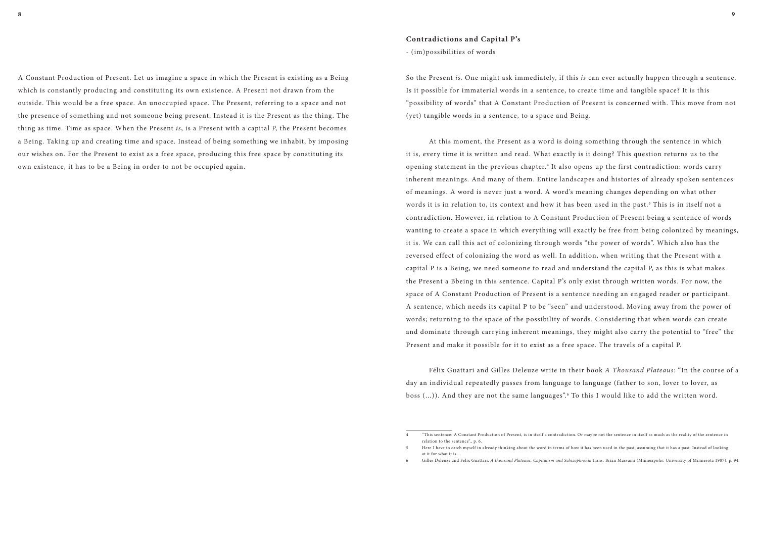A Constant Production of Present. Let us imagine a space in which the Present is existing as a Being which is constantly producing and constituting its own existence. A Present not drawn from the outside. This would be a free space. An unoccupied space. The Present, referring to a space and not the presence of something and not someone being present. Instead it is the Present as the thing. The thing as time. Time as space. When the Present *is*, is a Present with a capital P, the Present becomes a Being. Taking up and creating time and space. Instead of being something we inhabit, by imposing our wishes on. For the Present to exist as a free space, producing this free space by constituting its own existence, it has to be a Being in order to not be occupied again.

#### **Contradictions and Capital P's**

- (im)possibilities of words

So the Present *is*. One might ask immediately, if this *is* can ever actually happen through a sentence. Is it possible for immaterial words in a sentence, to create time and tangible space? It is this "possibility of words" that A Constant Production of Present is concerned with. This move from not (yet) tangible words in a sentence, to a space and Being.

At this moment, the Present as a word is doing something through the sentence in which it is, every time it is written and read. What exactly is it doing? This question returns us to the opening statement in the previous chapter.<sup>4</sup> It also opens up the first contradiction: words carry inherent meanings. And many of them. Entire landscapes and histories of already spoken sentences of meanings. A word is never just a word. A word's meaning changes depending on what other words it is in relation to, its context and how it has been used in the past. $^{\rm 5}$  This is in itself not a contradiction. However, in relation to A Constant Production of Present being a sentence of words wanting to create a space in which everything will exactly be free from being colonized by meanings, it is. We can call this act of colonizing through words "the power of words". Which also has the reversed effect of colonizing the word as well. In addition, when writing that the Present with a capital P is a Being, we need someone to read and understand the capital P, as this is what makes the Present a Bbeing in this sentence. Capital P's only exist through written words. For now, the space of A Constant Production of Present is a sentence needing an engaged reader or participant. A sentence, which needs its capital P to be "seen" and understood. Moving away from the power of words; returning to the space of the possibility of words. Considering that when words can create and dominate through carrying inherent meanings, they might also carry the potential to "free" the Present and make it possible for it to exist as a free space. The travels of a capital P.

Félix Guattari and Gilles Deleuze write in their book *A Thousand Plateaus*: "In the course of a day an individual repeatedly passes from language to language (father to son, lover to lover, as boss (...)). And they are not the same languages". <sup>6</sup> To this I would like to add the written word.

5 Here I have to catch myself in already thinking about the word in terms of how it has been used in the past, assuming that it has a past. Instead of looking 6 Gilles Deleuze and Felix Guattari, *A thousand Plateaus, Capitalism and Schizophrenia* trans. Brian Massumi (Minneapolis: University of Minnesota 1987), p. 94.

<sup>4 &</sup>quot;This sentence: A Constant Production of Present, is in itself a contradiction. Or maybe not the sentence in itself as much as the reality of the sentence in relation to the sentence"., p. 6.

at it for what it is..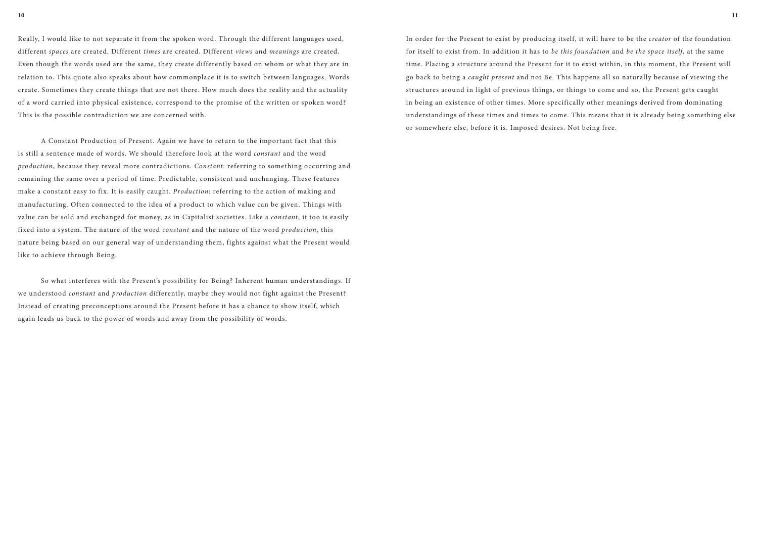Really, I would like to not separate it from the spoken word. Through the different languages used, different *spaces* are created. Different *times* are created. Different *views* and *meanings* are created. Even though the words used are the same, they create differently based on whom or what they are in relation to. This quote also speaks about how commonplace it is to switch between languages. Words create. Sometimes they create things that are not there. How much does the reality and the actuality of a word carried into physical existence, correspond to the promise of the written or spoken word? This is the possible contradiction we are concerned with.

A Constant Production of Present. Again we have to return to the important fact that this is still a sentence made of words. We should therefore look at the word *constant* and the word *production*, because they reveal more contradictions. *Constant*: referring to something occurring and remaining the same over a period of time. Predictable, consistent and unchanging. These features make a constant easy to fix. It is easily caught. *Production*: referring to the action of making and manufacturing. Often connected to the idea of a product to which value can be given. Things with value can be sold and exchanged for money, as in Capitalist societies. Like a *constant*, it too is easily fixed into a system. The nature of the word *constant* and the nature of the word *production*, this nature being based on our general way of understanding them, fights against what the Present would like to achieve through Being.

So what interferes with the Present's possibility for Being? Inherent human understandings. If we understood *constant* and *production* differently, maybe they would not fight against the Present? Instead of creating preconceptions around the Present before it has a chance to show itself, which again leads us back to the power of words and away from the possibility of words.

In order for the Present to exist by producing itself, it will have to be the *creator* of the foundation for itself to exist from. In addition it has to *be this foundation* and *be the space itself*, at the same time. Placing a structure around the Present for it to exist within, in this moment, the Present will go back to being a *caught present* and not Be. This happens all so naturally because of viewing the structures around in light of previous things, or things to come and so, the Present gets caught in being an existence of other times. More specifically other meanings derived from dominating understandings of these times and times to come. This means that it is already being something else or somewhere else, before it is. Imposed desires. Not being free.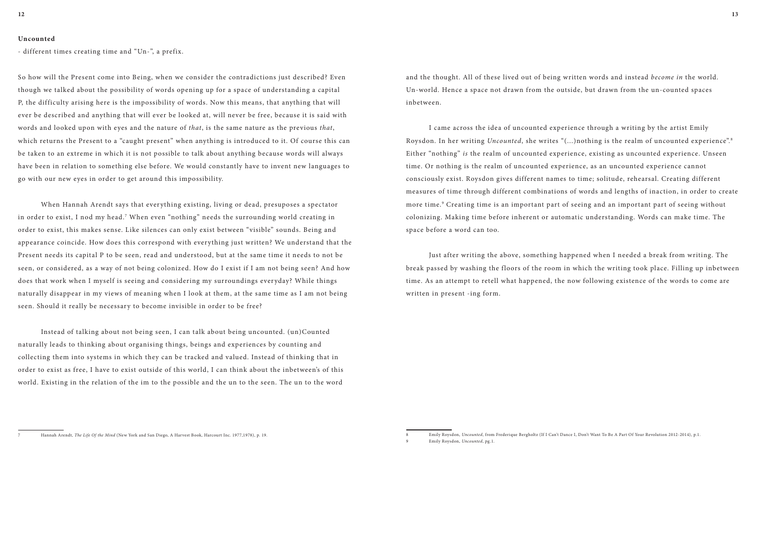#### **Uncounted**

- different times creating time and "Un-", a prefix.

So how will the Present come into Being, when we consider the contradictions just described? Even though we talked about the possibility of words opening up for a space of understanding a capital P, the difficulty arising here is the impossibility of words. Now this means, that anything that will ever be described and anything that will ever be looked at, will never be free, because it is said with words and looked upon with eyes and the nature of *that*, is the same nature as the previous *that*, which returns the Present to a "caught present" when anything is introduced to it. Of course this can be taken to an extreme in which it is not possible to talk about anything because words will always have been in relation to something else before. We would constantly have to invent new languages to go with our new eyes in order to get around this impossibility.

When Hannah Arendt says that everything existing, living or dead, presuposes a spectator in order to exist, I nod my head.<sup>7</sup> When even "nothing" needs the surrounding world creating in order to exist, this makes sense. Like silences can only exist between "visible" sounds. Being and appearance coincide. How does this correspond with everything just written? We understand that the Present needs its capital P to be seen, read and understood, but at the same time it needs to not be seen, or considered, as a way of not being colonized. How do I exist if I am not being seen? And how does that work when I myself is seeing and considering my surroundings everyday? While things naturally disappear in my views of meaning when I look at them, at the same time as I am not being seen. Should it really be necessary to become invisible in order to be free?

Instead of talking about not being seen, I can talk about being uncounted. (un)Counted naturally leads to thinking about organising things, beings and experiences by counting and collecting them into systems in which they can be tracked and valued. Instead of thinking that in order to exist as free, I have to exist outside of this world, I can think about the inbetween's of this world. Existing in the relation of the im to the possible and the un to the seen. The un to the word

and the thought. All of these lived out of being written words and instead *become in* the world. Un-world. Hence a space not drawn from the outside, but drawn from the un-counted spaces inbetween.

I came across the idea of uncounted experience through a writing by the artist Emily Roysdon. In her writing *Uncounted*, she writes "(...)nothing is the realm of uncounted experience".<sup>8</sup> Either "nothing" *is* the realm of uncounted experience, existing as uncounted experience. Unseen time. Or nothing is the realm of uncounted experience, as an uncounted experience cannot consciously exist. Roysdon gives different names to time; solitude, rehearsal. Creating different measures of time through different combinations of words and lengths of inaction, in order to create more time.<sup>9</sup> Creating time is an important part of seeing and an important part of seeing without colonizing. Making time before inherent or automatic understanding. Words can make time. The space before a word can too.

Just after writing the above, something happened when I needed a break from writing. The break passed by washing the floors of the room in which the writing took place. Filling up inbetween time. As an attempt to retell what happened, the now following existence of the words to come are written in present -ing form.

<sup>7</sup> Hannah Arendt, *The Life Of the Mind* (New York and San Diego, A Harvest Book, Harcourt Inc. 1977,1978), p. 19.

<sup>8</sup> Emily Roysdon, *Uncounted*, from Frederique Bergholtz (If I Can't Dance I, Don't Want To Be A Part Of Your Revolution 2012-2014), p.1.

<sup>9</sup> Emily Roysdon, *Uncounted*, pg.1.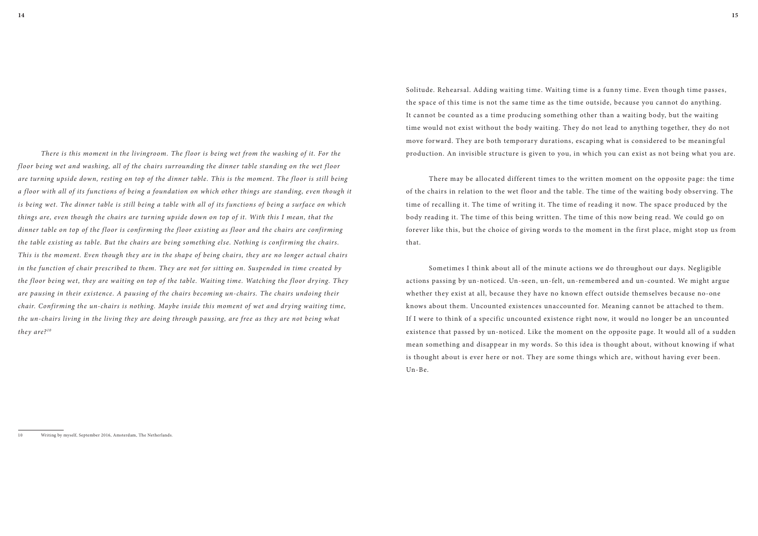*There is this moment in the livingroom. The floor is being wet from the washing of it. For the floor being wet and washing, all of the chairs surrounding the dinner table standing on the wet floor are turning upside down, resting on top of the dinner table. This is the moment. The floor is still being a floor with all of its functions of being a foundation on which other things are standing, even though it is being wet. The dinner table is still being a table with all of its functions of being a surface on which things are, even though the chairs are turning upside down on top of it. With this I mean, that the dinner table on top of the floor is confirming the floor existing as floor and the chairs are confirming the table existing as table. But the chairs are being something else. Nothing is confirming the chairs. This is the moment. Even though they are in the shape of being chairs, they are no longer actual chairs in the function of chair prescribed to them. They are not for sitting on. Suspended in time created by the floor being wet, they are waiting on top of the table. Waiting time. Watching the floor drying. They are pausing in their existence. A pausing of the chairs becoming un-chairs. The chairs undoing their chair. Confirming the un-chairs is nothing. Maybe inside this moment of wet and drying waiting time, the un-chairs living in the living they are doing through pausing, are free as they are not being what they are? <sup>10</sup>*

Solitude. Rehearsal. Adding waiting time. Waiting time is a funny time. Even though time passes, the space of this time is not the same time as the time outside, because you cannot do anything. It cannot be counted as a time producing something other than a waiting body, but the waiting time would not exist without the body waiting. They do not lead to anything together, they do not move forward. They are both temporary durations, escaping what is considered to be meaningful production. An invisible structure is given to you, in which you can exist as not being what you are.

There may be allocated different times to the written moment on the opposite page: the time of the chairs in relation to the wet floor and the table. The time of the waiting body observing. The time of recalling it. The time of writing it. The time of reading it now. The space produced by the body reading it. The time of this being written. The time of this now being read. We could go on forever like this, but the choice of giving words to the moment in the first place, might stop us from that.

Sometimes I think about all of the minute actions we do throughout our days. Negligible actions passing by un-noticed. Un-seen, un-felt, un-remembered and un-counted. We might argue whether they exist at all, because they have no known effect outside themselves because no-one knows about them. Uncounted existences unaccounted for. Meaning cannot be attached to them. If I were to think of a specific uncounted existence right now, it would no longer be an uncounted existence that passed by un-noticed. Like the moment on the opposite page. It would all of a sudden mean something and disappear in my words. So this idea is thought about, without knowing if what is thought about is ever here or not. They are some things which are, without having ever been. Un-Be.

Writing by myself, September 2016, Amsterdam, The Netherlands.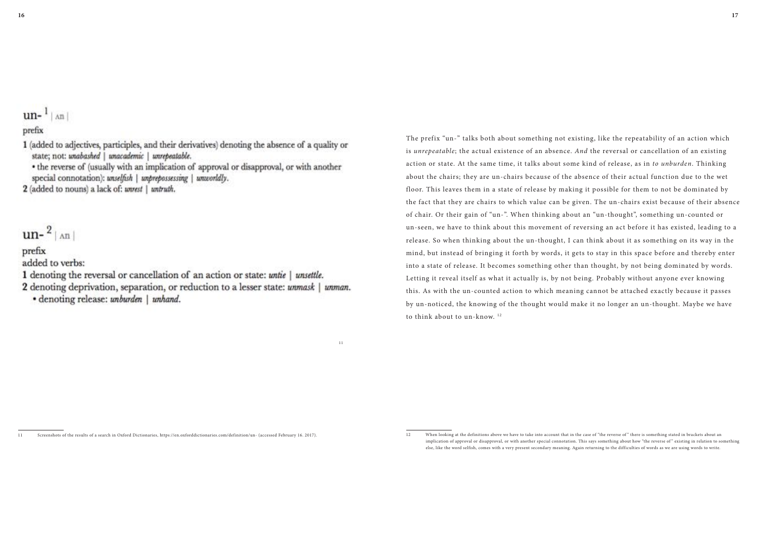$un-1$  |  $an$  |

# prefix

1 (added to adjectives, participles, and their derivatives) denoting the absence of a quality or state; not: unabashed | unacademic | unrepeatable.

• the reverse of (usually with an implication of approval or disapproval, or with another special connotation): unselfish | unprepossessing | unworldly.

2 (added to nouns) a lack of: unrest | untruth.

# $un-$ <sup>2</sup> $|$   $\land$ n $|$

# prefix

added to verbs:

- 1 denoting the reversal or cancellation of an action or state: untie | unsettle.
- 2 denoting deprivation, separation, or reduction to a lesser state: unmask | unman.

the contract of the contract of the contract of the contract of the contract of the contract of the contract of the contract of the contract of the contract of the contract of the contract of the contract of the contract o

• denoting release: unburden | unhand.

The prefix "un-" talks both about something not existing, like the repeatability of an action which is *unrepeatable*; the actual existence of an absence. *And* the reversal or cancellation of an existing action or state. At the same time, it talks about some kind of release, as in *to unburden*. Thinking about the chairs; they are un-chairs because of the absence of their actual function due to the wet floor. This leaves them in a state of release by making it possible for them to not be dominated by the fact that they are chairs to which value can be given. The un-chairs exist because of their absence of chair. Or their gain of "un-". When thinking about an "un-thought", something un-counted or un-seen, we have to think about this movement of reversing an act before it has existed, leading to a release. So when thinking about the un-thought, I can think about it as something on its way in the mind, but instead of bringing it forth by words, it gets to stay in this space before and thereby enter into a state of release. It becomes something other than thought, by not being dominated by words. Letting it reveal itself as what it actually is, by not being. Probably without anyone ever knowing this. As with the un-counted action to which meaning cannot be attached exactly because it passes by un-noticed, the knowing of the thought would make it no longer an un-thought. Maybe we have to think about to un-know. 12

implication of approval or disapproval, or with another special connotation. This says something about how "the reverse of" existing in relation to something else, like the word selfish, comes with a very present secondary meaning. Again returning to the difficulties of words as we are using words to write.

<sup>11</sup> Screenshots of the results of a search in Oxford Dictionaries, https://en.oxforddictionaries.com/definition/un- (accessed February 16. 2017).

<sup>12</sup> When looking at the definitions above we have to take into account that in the case of "the reverse of" there is something stated in brackets about an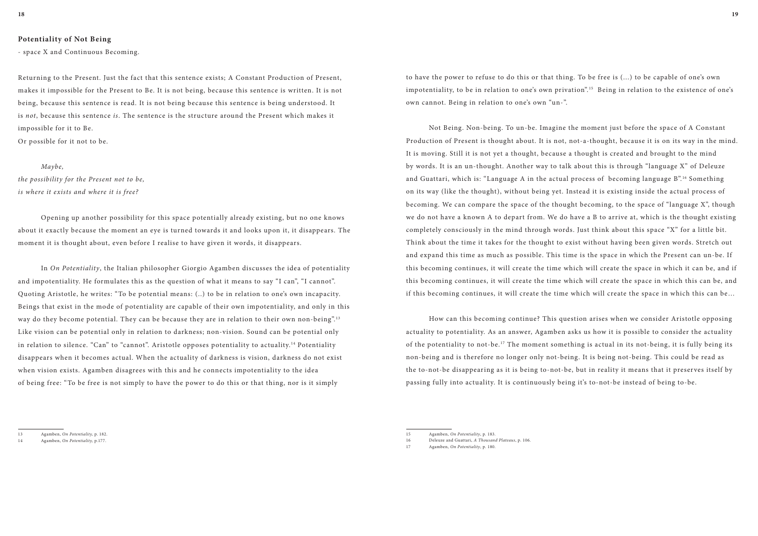#### **Potentiality of Not Being**

- space X and Continuous Becoming.

Returning to the Present. Just the fact that this sentence exists; A Constant Production of Present, makes it impossible for the Present to Be. It is not being, because this sentence is written. It is not being, because this sentence is read. It is not being because this sentence is being understood. It is *not*, because this sentence *is*. The sentence is the structure around the Present which makes it impossible for it to Be.

Or possible for it not to be.

#### *Maybe,*

*the possibility for the Present not to be, is where it exists and where it is free?*

Opening up another possibility for this space potentially already existing, but no one knows about it exactly because the moment an eye is turned towards it and looks upon it, it disappears. The moment it is thought about, even before I realise to have given it words, it disappears.

In *On Potentiality*, the Italian philosopher Giorgio Agamben discusses the idea of potentiality and impotentiality. He formulates this as the question of what it means to say "I can,", "I cannot". Quoting Aristotle, he writes: "To be potential means: (..) to be in relation to one's own incapacity. Beings that exist in the mode of potentiality are capable of their own impotentiality, and only in this way do they become potential. They can be because they are in relation to their own non-being".<sup>13</sup> Like vision can be potential only in relation to darkness; non-vision. Sound can be potential only in relation to silence. "Can" to "cannot". Aristotle opposes potentiality to actuality. 14 Potentiality disappears when it becomes actual. When the actuality of darkness is vision, darkness do not exist when vision exists. Agamben disagrees with this and he connects impotentiality to the idea of being free: "To be free is not simply to have the power to do this or that thing, nor is it simply

to have the power to refuse to do this or that thing. To be free is (...) to be capable of one's own impotentiality, to be in relation to one's own privation". 15 Being in relation to the existence of one's own cannot. Being in relation to one's own "un-".

Not Being. Non-being. To un-be. Imagine the moment just before the space of A Constant Production of Present is thought about. It is not, not-a-thought, because it is on its way in the mind. It is moving. Still it is not yet a thought, because a thought is created and brought to the mind by words. It is an un-thought. Another way to talk about this is through "language X" of Deleuze and Guattari, which is: "Language A in the actual process of becoming language  $B^{n,16}$  Something on its way (like the thought), without being yet. Instead it is existing inside the actual process of becoming. We can compare the space of the thought becoming, to the space of "language X", though we do not have a known A to depart from. We do have a B to arrive at, which is the thought existing completely consciously in the mind through words. Just think about this space "X" for a little bit. Think about the time it takes for the thought to exist without having been given words. Stretch out and expand this time as much as possible. This time is the space in which the Present can un-be. If this becoming continues, it will create the time which will create the space in which it can be, and if this becoming continues, it will create the time which will create the space in which this can be, and if this becoming continues, it will create the time which will create the space in which this can be…

How can this becoming continue? This question arises when we consider Aristotle opposing actuality to potentiality. As an answer, Agamben asks us how it is possible to consider the actuality of the potentiality to not-be. 17 The moment something is actual in its not-being, it is fully being its non-being and is therefore no longer only not-being. It is being not-being. This could be read as the to-not-be disappearing as it is being to-not-be, but in reality it means that it preserves itself by passing fully into actuality. It is continuously being it's to-not-be instead of being to-be.

<sup>13</sup> Agamben, *On Potentiality,* p. 182.

<sup>14</sup> Agamben, *On Potentiality,* p.177.

<sup>15</sup> Agamben, *On Potentiality*, p. 183.

<sup>16</sup> Deleuze and Guattari, *A Thousand Plateaus*, p. 106.

<sup>17</sup> Agamben, *On Potentiality*, p. 180.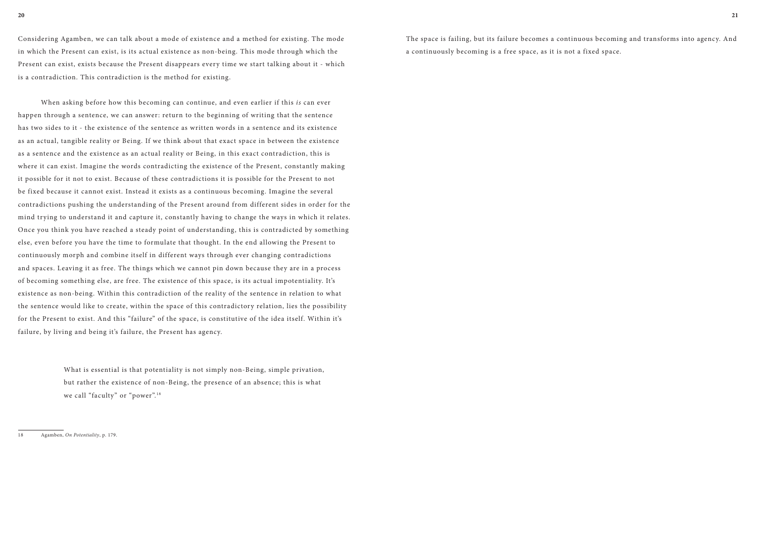Considering Agamben, we can talk about a mode of existence and a method for existing. The mode in which the Present can exist, is its actual existence as non-being. This mode through which the Present can exist, exists because the Present disappears every time we start talking about it - which is a contradiction. This contradiction is the method for existing.

> What is essential is that potentiality is not simply non-Being, simple privation, but rather the existence of non-Being, the presence of an absence; this is what we call "faculty" or "power".<sup>18</sup>

When asking before how this becoming can continue, and even earlier if this *is* can ever happen through a sentence, we can answer: return to the beginning of writing that the sentence has two sides to it - the existence of the sentence as written words in a sentence and its existence as an actual, tangible reality or Being. If we think about that exact space in between the existence as a sentence and the existence as an actual reality or Being, in this exact contradiction, this is where it can exist. Imagine the words contradicting the existence of the Present, constantly making it possible for it not to exist. Because of these contradictions it is possible for the Present to not be fixed because it cannot exist. Instead it exists as a continuous becoming. Imagine the several contradictions pushing the understanding of the Present around from different sides in order for the mind trying to understand it and capture it, constantly having to change the ways in which it relates. Once you think you have reached a steady point of understanding, this is contradicted by something else, even before you have the time to formulate that thought. In the end allowing the Present to continuously morph and combine itself in different ways through ever changing contradictions and spaces. Leaving it as free. The things which we cannot pin down because they are in a process of becoming something else, are free. The existence of this space, is its actual impotentiality. It's existence as non-being. Within this contradiction of the reality of the sentence in relation to what the sentence would like to create, within the space of this contradictory relation, lies the possibility for the Present to exist. And this "failure" of the space, is constitutive of the idea itself. Within it's failure, by living and being it's failure, the Present has agency.

18 Agamben, *On Potentiality*, p. 179.

The space is failing, but its failure becomes a continuous becoming and transforms into agency. And a continuously becoming is a free space, as it is not a fixed space.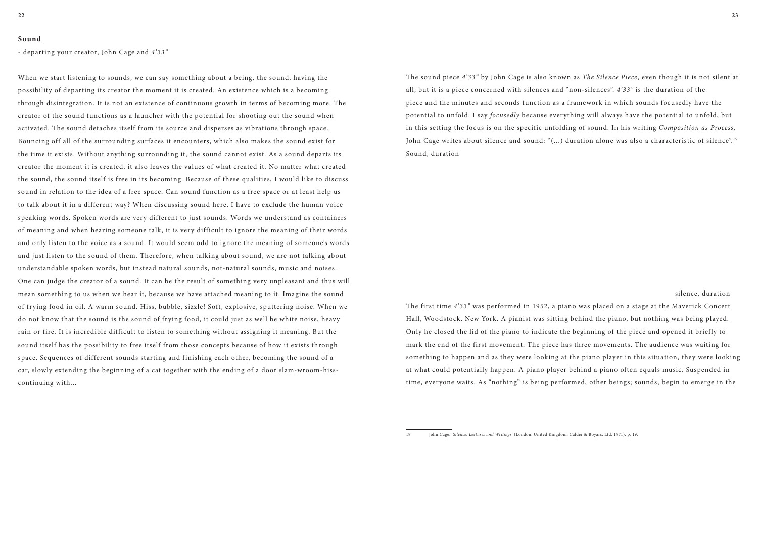#### **Sound**

- departing your creator, John Cage and *4'33"*

When we start listening to sounds, we can say something about a being, the sound, having the possibility of departing its creator the moment it is created. An existence which is a becoming through disintegration. It is not an existence of continuous growth in terms of becoming more. The creator of the sound functions as a launcher with the potential for shooting out the sound when activated. The sound detaches itself from its source and disperses as vibrations through space. Bouncing off all of the surrounding surfaces it encounters, which also makes the sound exist for the time it exists. Without anything surrounding it, the sound cannot exist. As a sound departs its creator the moment it is created, it also leaves the values of what created it. No matter what created the sound, the sound itself is free in its becoming. Because of these qualities, I would like to discuss sound in relation to the idea of a free space. Can sound function as a free space or at least help us to talk about it in a different way? When discussing sound here, I have to exclude the human voice speaking words. Spoken words are very different to just sounds. Words we understand as containers of meaning and when hearing someone talk, it is very difficult to ignore the meaning of their words and only listen to the voice as a sound. It would seem odd to ignore the meaning of someone's words and just listen to the sound of them. Therefore, when talking about sound, we are not talking about understandable spoken words, but instead natural sounds, not-natural sounds, music and noises. One can judge the creator of a sound. It can be the result of something very unpleasant and thus will mean something to us when we hear it, because we have attached meaning to it. Imagine the sound of frying food in oil. A warm sound. Hiss, bubble, sizzle! Soft, explosive, sputtering noise. When we do not know that the sound is the sound of frying food, it could just as well be white noise, heavy rain or fire. It is incredible difficult to listen to something without assigning it meaning. But the sound itself has the possibility to free itself from those concepts because of how it exists through space. Sequences of different sounds starting and finishing each other, becoming the sound of a car, slowly extending the beginning of a cat together with the ending of a door slam-wroom-hisscontinuing with...

The sound piece *4'33"* by John Cage is also known as *The Silence Piece*, even though it is not silent at all, but it is a piece concerned with silences and "non-silences". *4'33"* is the duration of the piece and the minutes and seconds function as a framework in which sounds focusedly have the potential to unfold. I say *focusedly* because everything will always have the potential to unfold, but in this setting the focus is on the specific unfolding of sound. In his writing *Composition as Process*, John Cage writes about silence and sound: "(...) duration alone was also a characteristic of silence".<sup>19</sup> Sound, duration

silence, duration

The first time *4'33"* was performed in 1952, a piano was placed on a stage at the Maverick Concert Hall, Woodstock, New York. A pianist was sitting behind the piano, but nothing was being played. Only he closed the lid of the piano to indicate the beginning of the piece and opened it briefly to mark the end of the first movement. The piece has three movements. The audience was waiting for something to happen and as they were looking at the piano player in this situation, they were looking at what could potentially happen. A piano player behind a piano often equals music. Suspended in time, everyone waits. As "nothing" is being performed, other beings; sounds, begin to emerge in the

<sup>19</sup> John Cage, *Silence: Lectures and Writings* (London, United Kingdom: Calder & Boyars, Ltd. 1971), p. 19.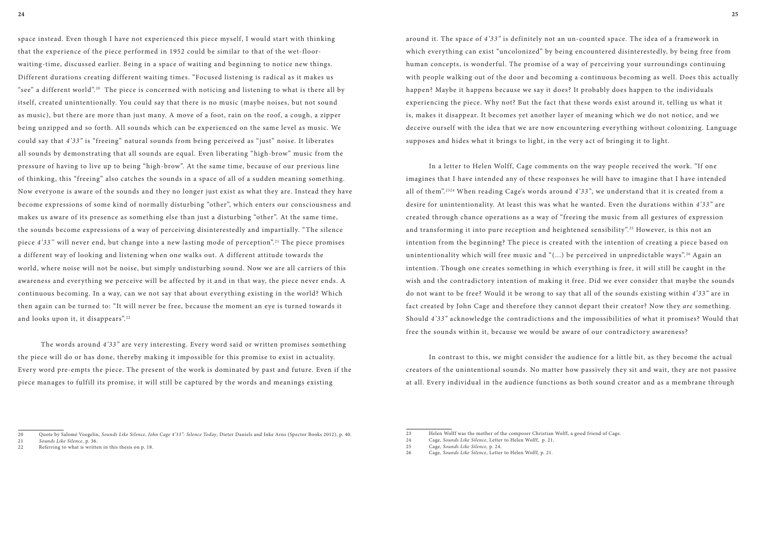space instead. Even though I have not experienced this piece myself, I would start with thinking that the experience of the piece performed in 1952 could be similar to that of the wet-floorwaiting-time, discussed earlier. Being in a space of waiting and beginning to notice new things. Different durations creating different waiting times. "Focused listening is radical as it makes us "see" a different world".<sup>20</sup> The piece is concerned with noticing and listening to what is there all by itself, created unintentionally. You could say that there is no music (maybe noises, but not sound as music), but there are more than just many. A move of a foot, rain on the roof, a cough, a zipper being unzipped and so forth. All sounds which can be experienced on the same level as music. We could say that *4'33"* is "freeing" natural sounds from being perceived as "just" noise. It liberates all sounds by demonstrating that all sounds are equal. Even liberating "high-brow" music from the pressure of having to live up to being "high-brow". At the same time, because of our previous line of thinking, this "freeing" also catches the sounds in a space of all of a sudden meaning something. Now everyone is aware of the sounds and they no longer just exist as what they are. Instead they have become expressions of some kind of normally disturbing "other", which enters our consciousness and makes us aware of its presence as something else than just a disturbing "other". At the same time, the sounds become expressions of a way of perceiving disinterestedly and impartially. "The silence piece *4'33'*' will never end, but change into a new lasting mode of perception". 21 The piece promises a different way of looking and listening when one walks out. A different attitude towards the world, where noise will not be noise, but simply undisturbing sound. Now we are all carriers of this awareness and everything we perceive will be affected by it and in that way, the piece never ends. A continuous becoming. In a way, can we not say that about everything existing in the world? Which then again can be turned to: "It will never be free, because the moment an eye is turned towards it and looks upon it, it disappears".<sup>22</sup>

The words around *4'33"* are very interesting. Every word said or written promises something the piece will do or has done, thereby making it impossible for this promise to exist in actuality. Every word pre-empts the piece. The present of the work is dominated by past and future. Even if the piece manages to fulfill its promise, it will still be captured by the words and meanings existing

around it. The space of *4'33"* is definitely not an un-counted space. The idea of a framework in which everything can exist "uncolonized" by being encountered disinterestedly, by being free from human concepts, is wonderful. The promise of a way of perceiving your surroundings continuing with people walking out of the door and becoming a continuous becoming as well. Does this actually happen? Maybe it happens because we say it does? It probably does happen to the individuals experiencing the piece. Why not? But the fact that these words exist around it, telling us what it is, makes it disappear. It becomes yet another layer of meaning which we do not notice, and we deceive ourself with the idea that we are now encountering everything without colonizing. Language supposes and hides what it brings to light, in the very act of bringing it to light.

In a letter to Helen Wolff, Cage comments on the way people received the work. "If one imagines that I have intended any of these responses he will have to imagine that I have intended all of them". 2324 When reading Cage's words around *4'33"*, we understand that it is created from a desire for unintentionality. At least this was what he wanted. Even the durations within *4'33"* are created through chance operations as a way of "freeing the music from all gestures of expression and transforming it into pure reception and heightened sensibility".<sup>25</sup> However, is this not an intention from the beginning? The piece is created with the intention of creating a piece based on unintentionality which will free music and " $\dots$ ) be perceived in unpredictable ways".<sup>26</sup> Again an intention. Though one creates something in which everything is free, it will still be caught in the wish and the contradictory intention of making it free. Did we ever consider that maybe the sounds do not want to be free? Would it be wrong to say that all of the sounds existing within *4'33"* are in fact created by John Cage and therefore they cannot depart their creator? Now they *are* something. Should *4'33"* acknowledge the contradictions and the impossibilities of what it promises? Would that free the sounds within it, because we would be aware of our contradictory awareness?

In contrast to this, we might consider the audience for a little bit, as they become the actual creators of the unintentional sounds. No matter how passively they sit and wait, they are not passive at all. Every individual in the audience functions as both sound creator and as a membrane through

<sup>20</sup> Quote by Salomé Voegelin, *Sounds Like Silence, John Cage 4'33": Silence Today*, Dieter Daniels and Inke Arns (Spector Books 2012), p. 40.

<sup>21</sup> *Sounds Like Silence*, p. 36.

<sup>22</sup> Referring to what is written in this thesis on p. 18.

<sup>23</sup> Helen Wolff was the mother of the composer Christian Wolff, a good friend of Cage.

<sup>24</sup> Cage, *Sounds Like Silence*, Letter to Helen Wolff, p. 21.

<sup>25</sup> Cage, *Sounds Like Silence,* p. 24.

<sup>26</sup> Cage, *Sounds Like Silence*, Letter to Helen Wolff, p. 21.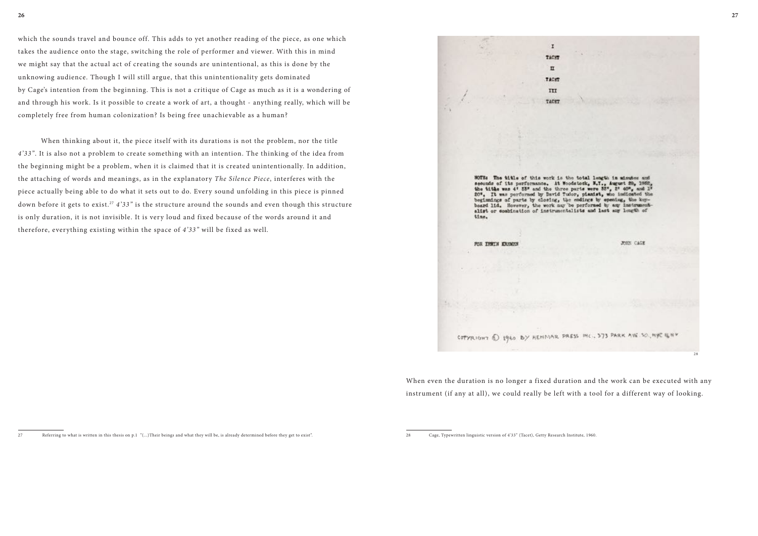which the sounds travel and bounce off. This adds to yet another reading of the piece, as one which takes the audience onto the stage, switching the role of performer and viewer. With this in mind we might say that the actual act of creating the sounds are unintentional, as this is done by the unknowing audience. Though I will still argue, that this unintentionality gets dominated by Cage's intention from the beginning. This is not a critique of Cage as much as it is a wondering of and through his work. Is it possible to create a work of art, a thought - anything really, which will be completely free from human colonization? Is being free unachievable as a human?

When thinking about it, the piece itself with its durations is not the problem, nor the title *4'33"*. It is also not a problem to create something with an intention. The thinking of the idea from the beginning might be a problem, when it is claimed that it is created unintentionally. In addition, the attaching of words and meanings, as in the explanatory *The Silence Piece*, interferes with the piece actually being able to do what it sets out to do. Every sound unfolding in this piece is pinned down before it gets to exist. <sup>27</sup> *4'33"* is the structure around the sounds and even though this structure is only duration, it is not invisible. It is very loud and fixed because of the words around it and therefore, everything existing within the space of *4'33"* will be fixed as well.

seconds of its performance. At Woodstock, N.T., August 29, 1962, the title was 4' 53" and the three parts were 53", 2' 40", and 1' 20%. It was performed by David Tudor, planist, who indicated the beginnings of parts by closing, the endings by opening, board lid. However, the work may be performed by any instrumentalist or combination of instrumentalists and last any length of time.

 $\mathbf{I}$ TACET  $\mathbf{u}$ TACKT III TACET

#### FOR THREE KREWS

COPYRIGHT @ 1960 BY HEHMAR PRESS INC., 373 PARK AVE



When even the duration is no longer a fixed duration and the work can be executed with any instrument (if any at all), we could really be left with a tool for a different way of looking.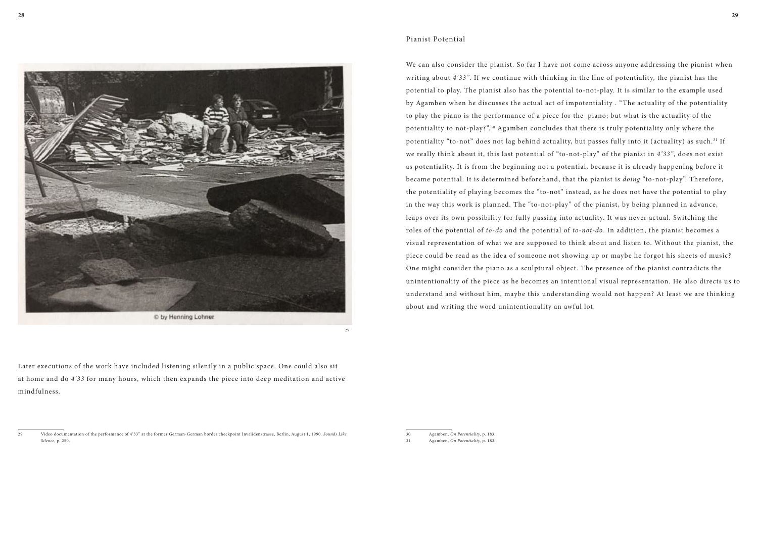

29

Later executions of the work have included listening silently in a public space. One could also sit at home and do *4'33* for many hours, which then expands the piece into deep meditation and active mindfulness.

#### Pianist Potential

We can also consider the pianist. So far I have not come across anyone addressing the pianist when writing about *4'33"*. If we continue with thinking in the line of potentiality, the pianist has the potential to play. The pianist also has the potential to-not-play. It is similar to the example used by Agamben when he discusses the actual act of impotentiality . "The actuality of the potentiality to play the piano is the performance of a piece for the piano; but what is the actuality of the potentiality to not-play?". 30 Agamben concludes that there is truly potentiality only where the potentiality "to-not" does not lag behind actuality, but passes fully into it (actuality) as such. 31 If we really think about it, this last potential of "to-not-play" of the pianist in *4'33"*, does not exist as potentiality. It is from the beginning not a potential, because it is already happening before it became potential. It is determined beforehand, that the pianist is *doing* "to-not-play". Therefore, the potentiality of playing becomes the "to-not" instead, as he does not have the potential to play in the way this work is planned. The "to-not-play" of the pianist, by being planned in advance, leaps over its own possibility for fully passing into actuality. It was never actual. Switching the roles of the potential of *to-do* and the potential of *to-not-do*. In addition, the pianist becomes a visual representation of what we are supposed to think about and listen to. Without the pianist, the piece could be read as the idea of someone not showing up or maybe he forgot his sheets of music? One might consider the piano as a sculptural object. The presence of the pianist contradicts the unintentionality of the piece as he becomes an intentional visual representation. He also directs us to understand and without him, maybe this understanding would not happen? At least we are thinking about and writing the word unintentionality an awful lot.

<sup>29</sup> Video documentation of the performance of 4'33" at the former German-German border checkpoint Invalidenstrasse, Berlin, August 1, 1990. *Sounds Like Silence*, p. 250.

<sup>30</sup> Agamben, *On Potentiality,* p. 183.

<sup>31</sup> Agamben, *On Potentiality,* p. 183.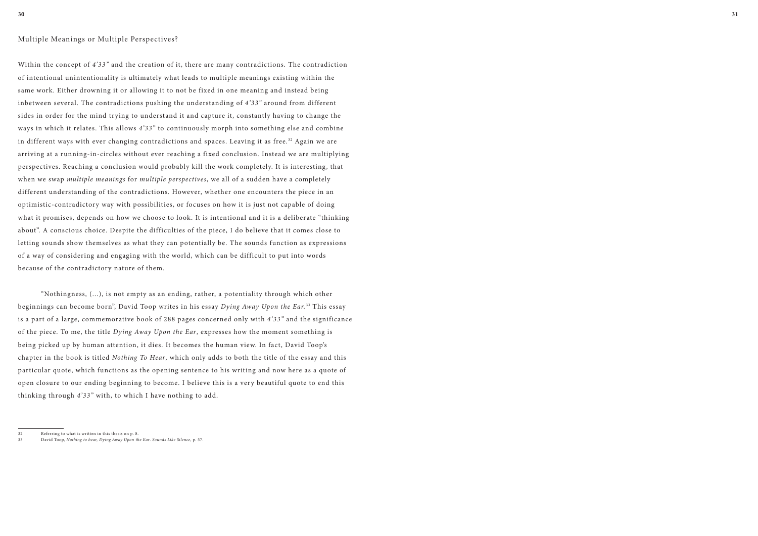## Multiple Meanings or Multiple Perspectives?

Within the concept of *4'33"* and the creation of it, there are many contradictions. The contradiction of intentional unintentionality is ultimately what leads to multiple meanings existing within the same work. Either drowning it or allowing it to not be fixed in one meaning and instead being inbetween several. The contradictions pushing the understanding of *4'33"* around from different sides in order for the mind trying to understand it and capture it, constantly having to change the ways in which it relates. This allows *4'33"* to continuously morph into something else and combine in different ways with ever changing contradictions and spaces. Leaving it as free.<sup>32</sup> Again we are arriving at a running-in-circles without ever reaching a fixed conclusion. Instead we are multiplying perspectives. Reaching a conclusion would probably kill the work completely. It is interesting, that when we swap *multiple meanings* for *multiple perspectives*, we all of a sudden have a completely different understanding of the contradictions. However, whether one encounters the piece in an optimistic-contradictory way with possibilities, or focuses on how it is just not capable of doing what it promises, depends on how we choose to look. It is intentional and it is a deliberate "thinking about". A conscious choice. Despite the difficulties of the piece, I do believe that it comes close to letting sounds show themselves as what they can potentially be. The sounds function as expressions of a way of considering and engaging with the world, which can be difficult to put into words because of the contradictory nature of them.

"Nothingness, (...), is not empty as an ending, rather, a potentiality through which other beginnings can become born", David Toop writes in his essay *Dying Away Upon the Ear.* 33 This essay is a part of a large, commemorative book of 288 pages concerned only with *4'33"* and the significance of the piece. To me, the title *Dying Away Upon the Ear*, expresses how the moment something is being picked up by human attention, it dies. It becomes the human view. In fact, David Toop's chapter in the book is titled *Nothing To Hear*, which only adds to both the title of the essay and this particular quote, which functions as the opening sentence to his writing and now here as a quote of open closure to our ending beginning to become. I believe this is a very beautiful quote to end this thinking through *4'33"* with, to which I have nothing to add.

<sup>32</sup> Referring to what is written in this thesis on p. 8.

<sup>33</sup> David Toop, *Nothing to hear, Dying Away Upon the Ear*. *Sounds Like Silence*, p. 57.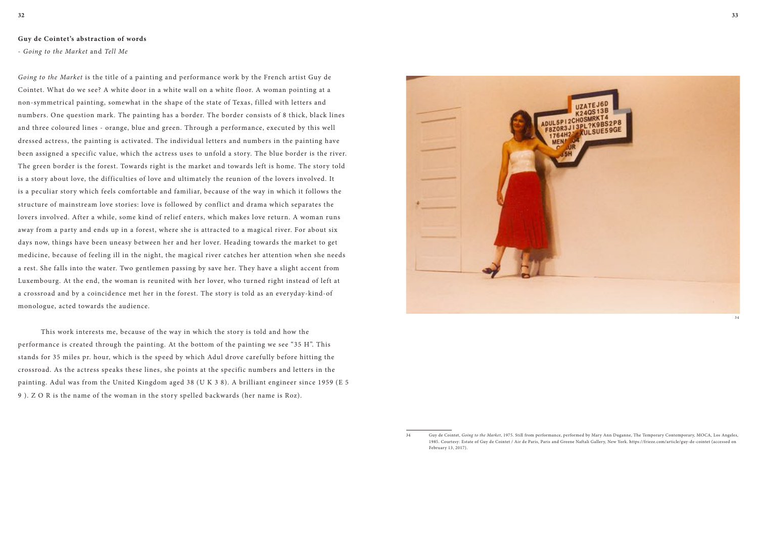#### **Guy de Cointet's abstraction of words**

- *Going to the Market* and *Tell Me*

*Going to the Market* is the title of a painting and performance work by the French artist Guy de Cointet. What do we see? A white door in a white wall on a white floor. A woman pointing at a non-symmetrical painting, somewhat in the shape of the state of Texas, filled with letters and numbers. One question mark. The painting has a border. The border consists of 8 thick, black lines and three coloured lines - orange, blue and green. Through a performance, executed by this well dressed actress, the painting is activated. The individual letters and numbers in the painting have been assigned a specific value, which the actress uses to unfold a story. The blue border is the river. The green border is the forest. Towards right is the market and towards left is home. The story told is a story about love, the difficulties of love and ultimately the reunion of the lovers involved. It is a peculiar story which feels comfortable and familiar, because of the way in which it follows the structure of mainstream love stories: love is followed by conflict and drama which separates the lovers involved. After a while, some kind of relief enters, which makes love return. A woman runs away from a party and ends up in a forest, where she is attracted to a magical river. For about six days now, things have been uneasy between her and her lover. Heading towards the market to get medicine, because of feeling ill in the night, the magical river catches her attention when she needs a rest. She falls into the water. Two gentlemen passing by save her. They have a slight accent from Luxembourg. At the end, the woman is reunited with her lover, who turned right instead of left at a crossroad and by a coincidence met her in the forest. The story is told as an everyday-kind-of monologue, acted towards the audience.

This work interests me, because of the way in which the story is told and how the performance is created through the painting. At the bottom of the painting we see "35 H". This stands for 35 miles pr. hour, which is the speed by which Adul drove carefully before hitting the crossroad. As the actress speaks these lines, she points at the specific numbers and letters in the painting. Adul was from the United Kingdom aged 38 (U K 3 8). A brilliant engineer since 1959 (E 5 9 ). Z O R is the name of the woman in the story spelled backwards (her name is Roz).



34 Guy de Cointet, *Going to the Market*, 1975. Still from performance, performed by Mary Ann Duganne, The Temporary Contemporary, MOCA, Los Angeles, 1985. Courtesy: Estate of Guy de Cointet / Air de Paris, Paris and Greene Naftali Gallery, New York. https://frieze.com/article/guy-de-cointet (accessed on

February 13, 2017).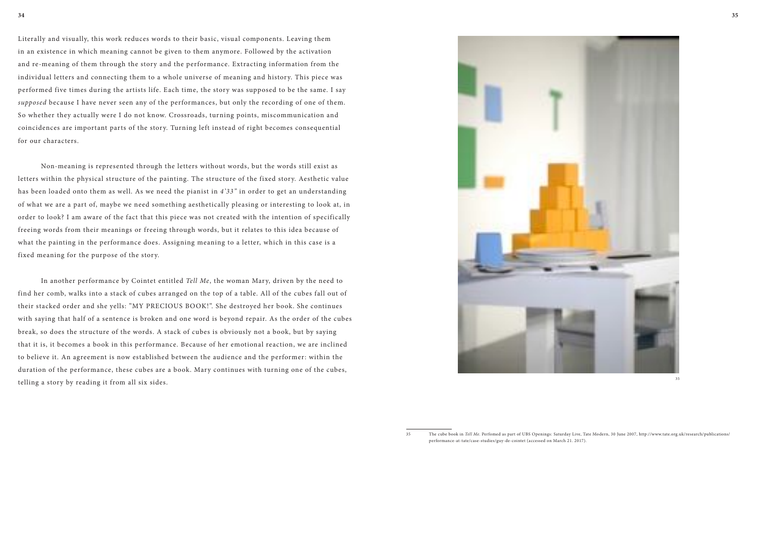Literally and visually, this work reduces words to their basic, visual components. Leaving them in an existence in which meaning cannot be given to them anymore. Followed by the activation and re-meaning of them through the story and the performance. Extracting information from the individual letters and connecting them to a whole universe of meaning and history. This piece was performed five times during the artists life. Each time, the story was supposed to be the same. I say *supposed* because I have never seen any of the performances, but only the recording of one of them. So whether they actually were I do not know. Crossroads, turning points, miscommunication and coincidences are important parts of the story. Turning left instead of right becomes consequential for our characters.

Non-meaning is represented through the letters without words, but the words still exist as letters within the physical structure of the painting. The structure of the fixed story. Aesthetic value has been loaded onto them as well. As we need the pianist in *4'33"* in order to get an understanding of what we are a part of, maybe we need something aesthetically pleasing or interesting to look at, in order to look? I am aware of the fact that this piece was not created with the intention of specifically freeing words from their meanings or freeing through words, but it relates to this idea because of what the painting in the performance does. Assigning meaning to a letter, which in this case is a fixed meaning for the purpose of the story.

In another performance by Cointet entitled *Tell Me*, the woman Mary, driven by the need to find her comb, walks into a stack of cubes arranged on the top of a table. All of the cubes fall out of their stacked order and she yells: "MY PRECIOUS BOOK!". She destroyed her book. She continues with saying that half of a sentence is broken and one word is beyond repair. As the order of the cubes break, so does the structure of the words. A stack of cubes is obviously not a book, but by saying that it is, it becomes a book in this performance. Because of her emotional reaction, we are inclined to believe it. An agreement is now established between the audience and the performer: within the duration of the performance, these cubes are a book. Mary continues with turning one of the cubes, telling a story by reading it from all six sides.



35

<sup>35</sup> The cube book in *Tell Me*. Perfomed as part of UBS Openings: Saturday Live, Tate Modern, 30 June 2007, http://www.tate.org.uk/research/publications/ performance-at-tate/case-studies/guy-de-cointet (accessed on March 21. 2017).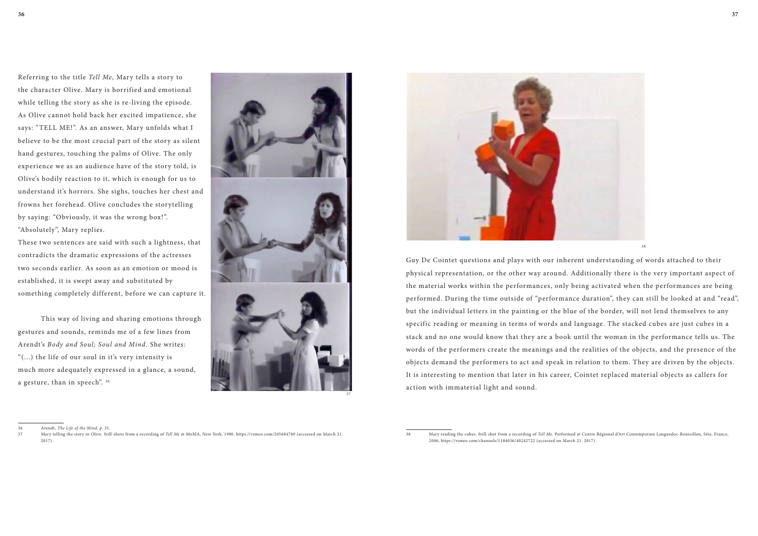Referring to the title *Tell Me*, Mary tells a story to the character Olive. Mary is horrified and emotional while telling the story as she is re-living the episode. As Olive cannot hold back her excited impatience, she says: "TELL ME!". As an answer, Mary unfolds what I believe to be the most crucial part of the story as silent hand gestures, touching the palms of Olive. The only experience we as an audience have of the story told, is Olive's bodily reaction to it, which is enough for us to understand it's horrors. She sighs, touches her chest and frowns her forehead. Olive concludes the storytelling by saying: "Obviously, it was the wrong box!". "Absolutely", Mary replies.

These two sentences are said with such a lightness, that contradicts the dramatic expressions of the actresses two seconds earlier. As soon as an emotion or mood is established, it is swept away and substituted by something completely different, before we can capture it.

This way of living and sharing emotions through gestures and sounds, reminds me of a few lines from Arendt's *Body and Soul; Soul and Mind.* She writes: "(...) the life of our soul in it's very intensity is much more adequately expressed in a glance, a sound, a gesture, than in speech". 36





Guy De Cointet questions and plays with our inherent understanding of words attached to their physical representation, or the other way around. Additionally there is the very important aspect of the material works within the performances, only being activated when the performances are being performed. During the time outside of "performance duration", they can still be looked at and "read", but the individual letters in the painting or the blue of the border, will not lend themselves to any specific reading or meaning in terms of words and language. The stacked cubes are just cubes in a stack and no one would know that they are a book until the woman in the performance tells us. The words of the performers create the meanings and the realities of the objects, and the presence of the objects demand the performers to act and speak in relation to them. They are driven by the objects. It is interesting to mention that later in his career, Cointet replaced material objects as callers for action with immaterial light and sound.

<sup>36</sup> Arendt, *The Life of the Mind*, p. 31.

<sup>37</sup> Mary telling the story to Olive. Still-shots from a recording of *Tell Me* at MoMA, New York, 1980. https://vimeo.com/205684780 (accessed on March 21. 2017).

<sup>38</sup> Mary reading the cubes. Still-shot from a recording of *Tell Me*. Performed at Centre Régional d'Art Contemporain Languedoc-Roussillon, Sète, France, 2006, https://vimeo.com/channels/1184036/40242722 (accessed on March 21. 2017).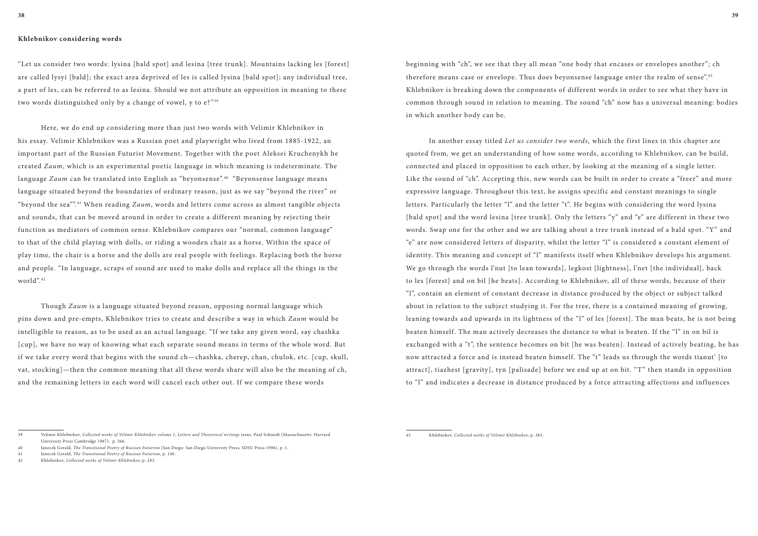## **Khlebnikov considering words**

"Let us consider two words: lysina [bald spot] and lesina [tree trunk]. Mountains lacking les [forest] are called lysyi [bald]; the exact area deprived of les is called lysina [bald spot]; any individual tree, a part of les, can be referred to as lesina. Should we not attribute an opposition in meaning to these two words distinguished only by a change of vowel, y to  $e^{2^{n_{39}}}$ 

Here, we do end up considering more than just two words with Velimir Khlebnikov in his essay. Velimir Khlebnikov was a Russian poet and playwright who lived from 1885-1922, an important part of the Russian Futurist Movement. Together with the poet Aleksei Kruchenykh he created *Zaum*, which is an experimental poetic language in which meaning is indeterminate. The language *Zaum* can be translated into English as "beyonsense".<sup>40</sup> "Beyonsense language means language situated beyond the boundaries of ordinary reason, just as we say "beyond the river" or "beyond the sea"".<sup>41</sup> When reading *Zaum*, words and letters come across as almost tangible objects and sounds, that can be moved around in order to create a different meaning by rejecting their function as mediators of common sense. Khlebnikov compares our "normal, common language" to that of the child playing with dolls, or riding a wooden chair as a horse. Within the space of play time, the chair is a horse and the dolls are real people with feelings. Replacing both the horse and people. "In language, scraps of sound are used to make dolls and replace all the things in the world". <sup>42</sup>

Though *Zaum* is a language situated beyond reason, opposing normal language which pins down and pre-empts, Khlebnikov tries to create and describe a way in which *Zaum* would be intelligible to reason, as to be used as an actual language. "If we take any given word, say chashka [cup], we have no way of knowing what each separate sound means in terms of the whole word. But if we take every word that begins with the sound ch—chashka, cherep, chan, chulok, etc. [cup, skull, vat, stocking]—then the common meaning that all these words share will also be the meaning of ch, and the remaining letters in each word will cancel each other out. If we compare these words

beginning with "ch", we see that they all mean "one body that encases or envelopes another"; ch therefore means case or envelope. Thus does beyonsense language enter the realm of sense".<sup>43</sup> Khlebnikov is breaking down the components of different words in order to see what they have in common through sound in relation to meaning. The sound "ch" now has a universal meaning: bodies in which another body can be.

In another essay titled *Let us consider two words*, which the first lines in this chapter are quoted from, we get an understanding of how some words, according to Khlebnikov, can be build, connected and placed in opposition to each other, by looking at the meaning of a single letter. Like the sound of "ch". Accepting this, new words can be built in order to create a "freer" and more expressive language. Throughout this text, he assigns specific and constant meanings to single letters. Particularly the letter "l" and the letter "t". He begins with considering the word lysina [bald spot] and the word lesina [tree trunk]. Only the letters "y" and "e" are different in these two words. Swap one for the other and we are talking about a tree trunk instead of a bald spot. "Y" and "e" are now considered letters of disparity, whilst the letter "l" is considered a constant element of identity. This meaning and concept of "l" manifests itself when Khlebnikov develops his argument. We go through the words l'nut [to lean towards], legkost [lightness], l'net [the individual], back to les [forest] and on bil [he beats]. According to Khlebnikov, all of these words, because of their "l", contain an element of constant decrease in distance produced by the object or subject talked about in relation to the subject studying it. For the tree, there is a contained meaning of growing, leaning towards and upwards in its lightness of the "l" of les [forest]. The man beats, he is not being beaten himself. The man actively decreases the distance to what is beaten. If the "l" in on bil is exchanged with a "t", the sentence becomes on bit [he was beaten]. Instead of actively beating, he has now attracted a force and is instead beaten himself. The "t" leads us through the words tianut' [to attract], tiazhest [gravity], tyn [palisade] before we end up at on bit. "T" then stands in opposition to "l" and indicates a decrease in distance produced by a force attracting affections and influences

43 Khlebnikov, *Collected works of Velimir Khlebnikov,* p. 383.

<sup>39</sup> Velimir Khlebnikov, *Collected works of Velimir Khlebnikov volume 1, Letters and Theoretical writings* trans. Paul Schmidt (Massachusetts: Harvard University Press Cambridge 1987), p. 266.

<sup>40</sup> Janecek Gerald, *The Transitional Poetry of Russian Futurism* (San Diego: San Diego University Press, SDSU Press 1996), p. 1.

<sup>41</sup> Janecek Gerald, *The Transitional Poetry of Russian Futurism,* p. 140.

<sup>42</sup> Khlebnikov, *Collected works of Velimir Khlebnikov,* p. 283.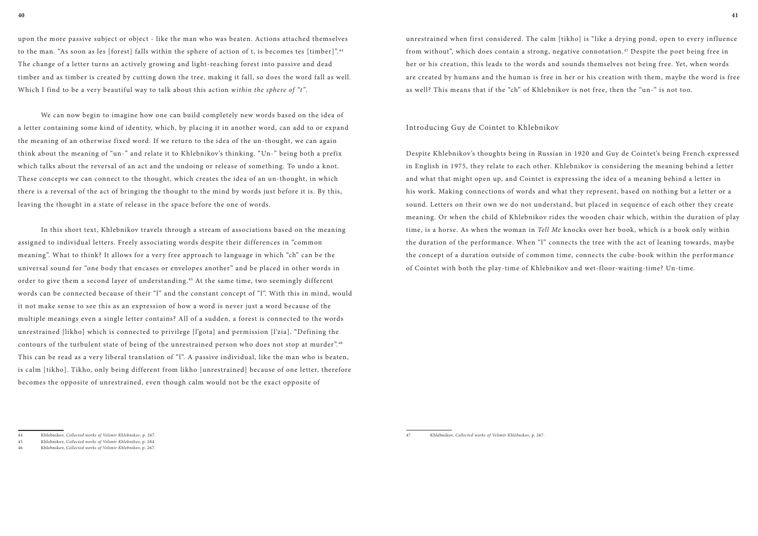upon the more passive subject or object - like the man who was beaten. Actions attached themselves to the man. "As soon as les [forest] falls within the sphere of action of t, is becomes tes [timber]". <sup>44</sup> The change of a letter turns an actively growing and light-reaching forest into passive and dead timber and as timber is created by cutting down the tree, making it fall, so does the word fall as well. Which I find to be a very beautiful way to talk about this action *within the sphere of "t"*.

We can now begin to imagine how one can build completely new words based on the idea of a letter containing some kind of identity, which, by placing it in another word, can add to or expand the meaning of an otherwise fixed word. If we return to the idea of the un-thought, we can again think about the meaning of "un-" and relate it to Khlebnikov's thinking. "Un-" being both a prefix which talks about the reversal of an act and the undoing or release of something. To undo a knot. These concepts we can connect to the thought, which creates the idea of an un-thought, in which there is a reversal of the act of bringing the thought to the mind by words just before it is. By this, leaving the thought in a state of release in the space before the one of words.

In this short text, Khlebnikov travels through a stream of associations based on the meaning assigned to individual letters. Freely associating words despite their differences in "common meaning". What to think? It allows for a very free approach to language in which "ch" can be the universal sound for "one body that encases or envelopes another" and be placed in other words in order to give them a second layer of understanding. 45 At the same time, two seemingly different words can be connected because of their "l" and the constant concept of "l". With this in mind, would it not make sense to see this as an expression of how a word is never just a word because of the multiple meanings even a single letter contains? All of a sudden, a forest is connected to the words unrestrained [likho] which is connected to privilege [l'gota] and permission [l'zia]. "Defining the contours of the turbulent state of being of the unrestrained person who does not stop at murder". <sup>46</sup> This can be read as a very liberal translation of "l". A passive individual, like the man who is beaten, is calm [tikho]. Tikho, only being different from likho [unrestrained] because of one letter, therefore becomes the opposite of unrestrained, even though calm would not be the exact opposite of

unrestrained when first considered. The calm [tikho] is "like a drying pond, open to every influence from without", which does contain a strong, negative connotation. 47 Despite the poet being free in her or his creation, this leads to the words and sounds themselves not being free. Yet, when words are created by humans and the human is free in her or his creation with them, maybe the word is free as well? This means that if the "ch" of Khlebnikov is not free, then the "un-" is not too.

#### Introducing Guy de Cointet to Khlebnikov

Despite Khlebnikov's thoughts being in Russian in 1920 and Guy de Cointet's being French expressed in English in 1975, they relate to each other. Khlebnikov is considering the meaning behind a letter and what that might open up, and Cointet is expressing the idea of a meaning behind a letter in his work. Making connections of words and what they represent, based on nothing but a letter or a sound. Letters on their own we do not understand, but placed in sequence of each other they create meaning. Or when the child of Khlebnikov rides the wooden chair which, within the duration of play time, is a horse. As when the woman in *Tell Me* knocks over her book, which is a book only within the duration of the performance. When "l" connects the tree with the act of leaning towards, maybe the concept of a duration outside of common time, connects the cube-book within the performance of Cointet with both the play-time of Khlebnikov and wet-floor-waiting-time? Un-time.

<sup>44</sup> Khlebnikov, *Collected works of Velimir Khlebnikov*, p. 267.

<sup>45</sup> Khlebnikov, *Collected works of Velimir Khlebnikov,* p. 284

<sup>46</sup> Khlebnikov, *Collected works of Velimir Khlebnikov,* p. 267.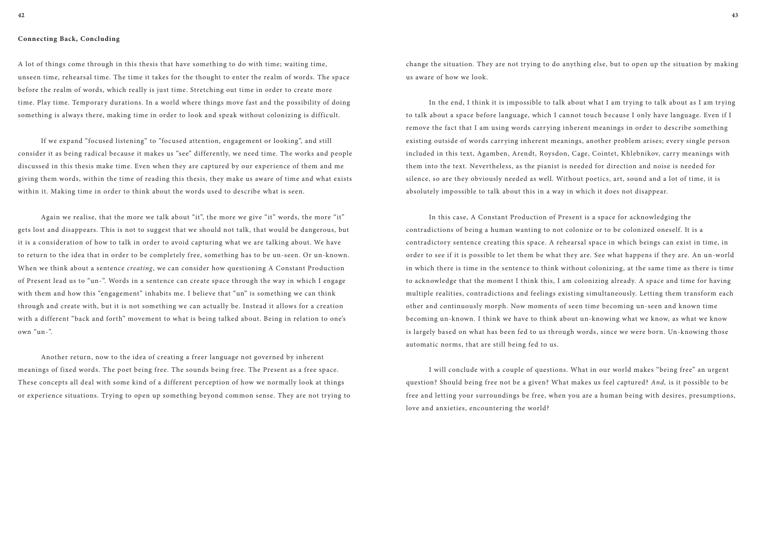## **Connecting Back, Concluding**

A lot of things come through in this thesis that have something to do with time; waiting time, unseen time, rehearsal time. The time it takes for the thought to enter the realm of words. The space before the realm of words, which really is just time. Stretching out time in order to create more time. Play time. Temporary durations. In a world where things move fast and the possibility of doing something is always there, making time in order to look and speak without colonizing is difficult.

If we expand "focused listening" to "focused attention, engagement or looking", and still consider it as being radical because it makes us "see" differently, we need time. The works and people discussed in this thesis make time. Even when they are captured by our experience of them and me giving them words, within the time of reading this thesis, they make us aware of time and what exists within it. Making time in order to think about the words used to describe what is seen.

Again we realise, that the more we talk about "it", the more we give "it" words, the more "it" gets lost and disappears. This is not to suggest that we should not talk, that would be dangerous, but it is a consideration of how to talk in order to avoid capturing what we are talking about. We have to return to the idea that in order to be completely free, something has to be un-seen. Or un-known. When we think about a sentence *creating*, we can consider how questioning A Constant Production of Present lead us to "un-". Words in a sentence can create space through the way in which I engage with them and how this "engagement" inhabits me. I believe that "un" is something we can think through and create with, but it is not something we can actually be. Instead it allows for a creation with a different "back and forth" movement to what is being talked about. Being in relation to one's own "un-".

Another return, now to the idea of creating a freer language not governed by inherent meanings of fixed words. The poet being free. The sounds being free. The Present as a free space. These concepts all deal with some kind of a different perception of how we normally look at things or experience situations. Trying to open up something beyond common sense. They are not trying to change the situation. They are not trying to do anything else, but to open up the situation by making us aware of how we look.

In the end, I think it is impossible to talk about what I am trying to talk about as I am trying to talk about a space before language, which I cannot touch because I only have language. Even if I remove the fact that I am using words carrying inherent meanings in order to describe something existing outside of words carrying inherent meanings, another problem arises; every single person included in this text, Agamben, Arendt, Roysdon, Cage, Cointet, Khlebnikov, carry meanings with them into the text. Nevertheless, as the pianist is needed for direction and noise is needed for silence, so are they obviously needed as well. Without poetics, art, sound and a lot of time, it is absolutely impossible to talk about this in a way in which it does not disappear.

In this case, A Constant Production of Present is a space for acknowledging the contradictions of being a human wanting to not colonize or to be colonized oneself. It is a contradictory sentence creating this space. A rehearsal space in which beings can exist in time, in order to see if it is possible to let them be what they are. See what happens if they are. An un-world in which there is time in the sentence to think without colonizing, at the same time as there is time to acknowledge that the moment I think this, I am colonizing already. A space and time for having multiple realities, contradictions and feelings existing simultaneously. Letting them transform each other and continuously morph. Now moments of seen time becoming un-seen and known time becoming un-known. I think we have to think about un-knowing what we know, as what we know is largely based on what has been fed to us through words, since we were born. Un-knowing those automatic norms, that are still being fed to us.

I will conclude with a couple of questions. What in our world makes "being free" an urgent question? Should being free not be a given? What makes us feel captured? *And,* is it possible to be free and letting your surroundings be free, when you are a human being with desires, presumptions, love and anxieties, encountering the world?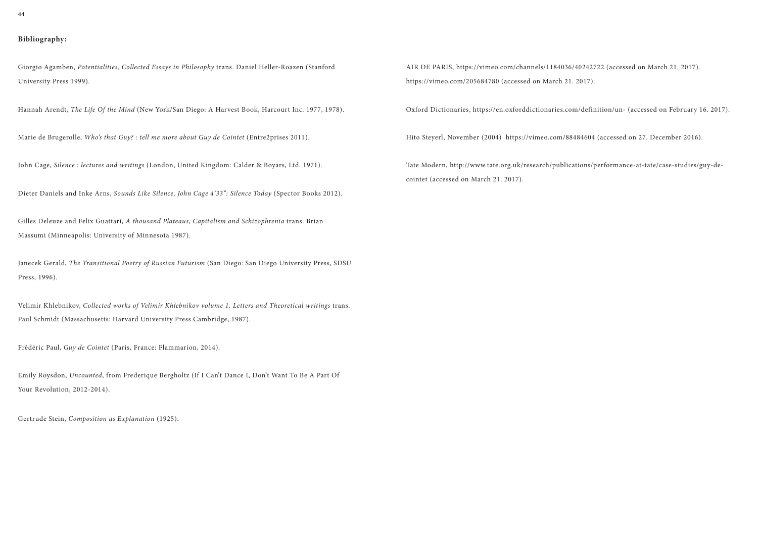# **Bibliography:**

Giorgio Agamben, *Potentialities, Collected Essays in Philosophy* trans. Daniel Heller-Roazen (Stanford University Press 1999).

Hannah Arendt, *The Life Of the Mind* (New York/San Diego: A Harvest Book, Harcourt Inc. 1977, 1978).

Marie de Brugerolle, *Who's that Guy? : tell me more about Guy de Cointet* (Entre2prises 2011).

John Cage, *Silence : lectures and writings* (London, United Kingdom: Calder & Boyars, Ltd. 1971).

Dieter Daniels and Inke Arns, *Sounds Like Silence, John Cage 4'33": Silence Today* (Spector Books 2012).

Emily Roysdon, *Uncounted*, from Frederique Bergholtz (If I Can't Dance I, Don't Want To Be A Part Of Your Revolution, 2012-2014).

Gilles Deleuze and Felix Guattari, *A thousand Plateaus, Capitalism and Schizophrenia* trans. Brian Massumi (Minneapolis: University of Minnesota 1987).

Janecek Gerald, *The Transitional Poetry of Russian Futurism* (San Diego: San Diego University Press, SDSU Press, 1996).

Velimir Khlebnikov, *Collected works of Velimir Khlebnikov volume 1, Letters and Theoretical writings* trans. Paul Schmidt (Massachusetts: Harvard University Press Cambridge, 1987).

Frédéric Paul, *Guy de Cointet* (Paris, France: Flammarion, 2014).

Gertrude Stein, *Composition as Explanation* (1925).

AIR DE PARIS, https://vimeo.com/channels/1184036/40242722 (accessed on March 21. 2017). https://vimeo.com/205684780 (accessed on March 21. 2017).

Oxford Dictionaries, https://en.oxforddictionaries.com/definition/un- (accessed on February 16. 2017).

Hito Steyerl, November (2004) https://vimeo.com/88484604 (accessed on 27. December 2016).

Tate Modern, http://www.tate.org.uk/research/publications/performance-at-tate/case-studies/guy-decointet (accessed on March 21. 2017).